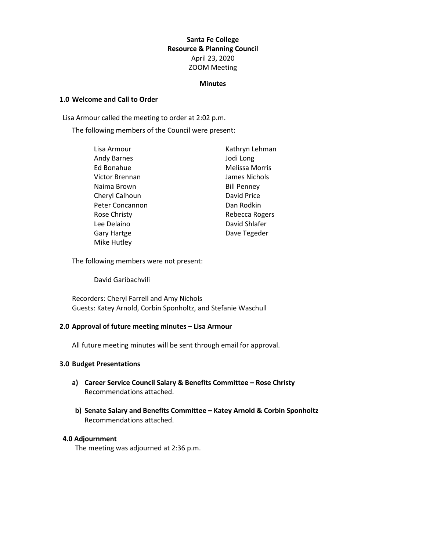#### **Santa Fe College Resource & Planning Council** April 23, 2020 ZOOM Meeting

#### **Minutes**

#### **1.0 Welcome and Call to Order**

Lisa Armour called the meeting to order at 2:02 p.m.

The following members of the Council were present:

| Lisa Armour         | Kathryn Lehman        |
|---------------------|-----------------------|
| <b>Andy Barnes</b>  | Jodi Long             |
| Ed Bonahue          | <b>Melissa Morris</b> |
| Victor Brennan      | James Nichols         |
| Naima Brown         | <b>Bill Penney</b>    |
| Cheryl Calhoun      | David Price           |
| Peter Concannon     | Dan Rodkin            |
| <b>Rose Christy</b> | Rebecca Rogers        |
| Lee Delaino         | David Shlafer         |
| Gary Hartge         | Dave Tegeder          |
| Mike Hutley         |                       |

The following members were not present:

David Garibachvili

Recorders: Cheryl Farrell and Amy Nichols Guests: Katey Arnold, Corbin Sponholtz, and Stefanie Waschull

#### **2.0 Approval of future meeting minutes – Lisa Armour**

All future meeting minutes will be sent through email for approval.

#### **3.0 Budget Presentations**

- **a) Career Service Council Salary & Benefits Committee – Rose Christy** Recommendations attached.
- **b) Senate Salary and Benefits Committee – Katey Arnold & Corbin Sponholtz** Recommendations attached.

#### **4.0 Adjournment**

The meeting was adjourned at 2:36 p.m.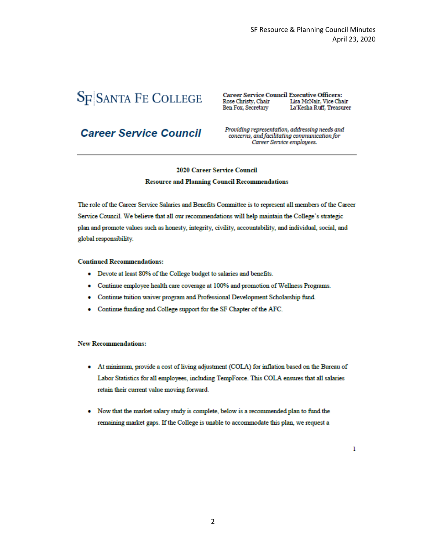# **SF SANTA FE COLLEGE**

**Career Service Council Executive Officers:** Rose Christy, Chair Lisa McNair, Vice Chair Ben Fox, Secretary La'Kesha Ruff, Treasurer

# **Career Service Council**

Providing representation, addressing needs and concerns, and facilitating communication for Career Service employees.

#### **2020 Career Service Council Resource and Planning Council Recommendations**

The role of the Career Service Salaries and Benefits Committee is to represent all members of the Career Service Council. We believe that all our recommendations will help maintain the College's strategic plan and promote values such as honesty, integrity, civility, accountability, and individual, social, and global responsibility.

#### **Continued Recommendations:**

- Devote at least 80% of the College budget to salaries and benefits.  $\bullet$
- Continue employee health care coverage at 100% and promotion of Wellness Programs.  $\bullet$
- $\bullet$ Continue tuition waiver program and Professional Development Scholarship fund.
- Continue funding and College support for the SF Chapter of the AFC.

#### **New Recommendations:**

- At minimum, provide a cost of living adjustment (COLA) for inflation based on the Bureau of  $\bullet$ Labor Statistics for all employees, including TempForce. This COLA ensures that all salaries retain their current value moving forward.
- Now that the market salary study is complete, below is a recommended plan to fund the  $\bullet$ remaining market gaps. If the College is unable to accommodate this plan, we request a

 $\mathbf{1}$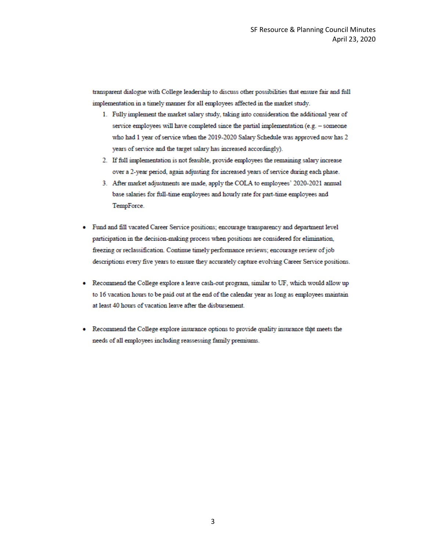transparent dialogue with College leadership to discuss other possibilities that ensure fair and full implementation in a timely manner for all employees affected in the market study.

- 1. Fully implement the market salary study, taking into consideration the additional year of service employees will have completed since the partial implementation (e.g. - someone who had 1 year of service when the 2019-2020 Salary Schedule was approved now has 2 years of service and the target salary has increased accordingly).
- 2. If full implementation is not feasible, provide employees the remaining salary increase over a 2-year period, again adjusting for increased years of service during each phase.
- 3. After market adjustments are made, apply the COLA to employees' 2020-2021 annual base salaries for full-time employees and hourly rate for part-time employees and TempForce.
- Fund and fill vacated Career Service positions; encourage transparency and department level participation in the decision-making process when positions are considered for elimination, freezing or reclassification. Continue timely performance reviews; encourage review of job descriptions every five years to ensure they accurately capture evolving Career Service positions.
- Recommend the College explore a leave cash-out program, similar to UF, which would allow up to 16 vacation hours to be paid out at the end of the calendar year as long as employees maintain at least 40 hours of vacation leave after the disbursement.
- Recommend the College explore insurance options to provide quality insurance that meets the needs of all employees including reassessing family premiums.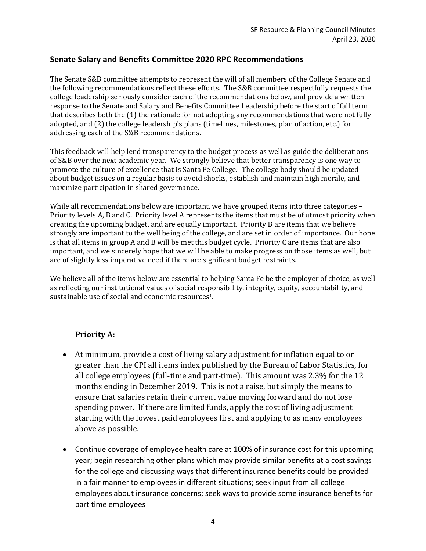# **Senate Salary and Benefits Committee 2020 RPC Recommendations**

The Senate S&B committee attempts to represent the will of all members of the College Senate and the following recommendations reflect these efforts. The S&B committee respectfully requests the college leadership seriously consider each of the recommendations below, and provide a written response to the Senate and Salary and Benefits Committee Leadership before the start of fall term that describes both the (1) the rationale for not adopting any recommendations that were not fully adopted, and (2) the college leadership's plans (timelines, milestones, plan of action, etc.) for addressing each of the S&B recommendations.

This feedback will help lend transparency to the budget process as well as guide the deliberations of S&B over the next academic year. We strongly believe that better transparency is one way to promote the culture of excellence that is Santa Fe College. The college body should be updated about budget issues on a regular basis to avoid shocks, establish and maintain high morale, and maximize participation in shared governance.

While all recommendations below are important, we have grouped items into three categories -Priority levels A, B and C. Priority level A represents the items that must be of utmost priority when creating the upcoming budget, and are equally important. Priority B are items that we believe strongly are important to the well being of the college, and are set in order of importance. Our hope is that all items in group A and B will be met this budget cycle. Priority C are items that are also important, and we sincerely hope that we will be able to make progress on those items as well, but are of slightly less imperative need if there are significant budget restraints.

We believe all of the items below are essential to helping Santa Fe be the employer of choice, as well as reflecting our institutional values of social responsibility, integrity, equity, accountability, and sustainable use of social and economic resources<sup>1</sup>.

## **Priority A:**

- At minimum, provide a cost of living salary adjustment for inflation equal to or greater than the CPI all items index published by the Bureau of Labor Statistics, for all college employees (full-time and part-time). This amount was 2.3% for the 12 months ending in December 2019. This is not a raise, but simply the means to ensure that salaries retain their current value moving forward and do not lose spending power. If there are limited funds, apply the cost of living adjustment starting with the lowest paid employees first and applying to as many employees above as possible.
- Continue coverage of employee health care at 100% of insurance cost for this upcoming year; begin researching other plans which may provide similar benefits at a cost savings for the college and discussing ways that different insurance benefits could be provided in a fair manner to employees in different situations; seek input from all college employees about insurance concerns; seek ways to provide some insurance benefits for part time employees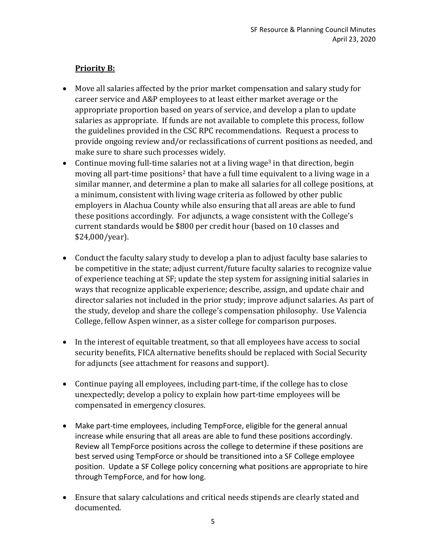# **Priority B:**

- Move all salaries affected by the prior market compensation and salary study for career service and A&P employees to at least either market average or the appropriate proportion based on years of service, and develop a plan to update salaries as appropriate. If funds are not available to complete this process, follow the guidelines provided in the CSC RPC recommendations. Request a process to provide ongoing review and/or reclassifications of current positions as needed, and make sure to share such processes widely.
- Continue moving full-time salaries not at a living wage<sup>3</sup> in that direction, begin moving all part-time positions<sup>2</sup> that have a full time equivalent to a living wage in a similar manner, and determine a plan to make all salaries for all college positions, at a minimum, consistent with living wage criteria as followed by other public employers in Alachua County while also ensuring that all areas are able to fund these positions accordingly. For adjuncts, a wage consistent with the College's current standards would be \$800 per credit hour (based on 10 classes and \$24,000/year).
- Conduct the faculty salary study to develop a plan to adjust faculty base salaries to be competitive in the state; adjust current/future faculty salaries to recognize value of experience teaching at SF; update the step system for assigning initial salaries in ways that recognize applicable experience; describe, assign, and update chair and director salaries not included in the prior study; improve adjunct salaries. As part of the study, develop and share the college's compensation philosophy. Use Valencia College, fellow Aspen winner, as a sister college for comparison purposes.
- In the interest of equitable treatment, so that all employees have access to social security benefits, FICA alternative benefits should be replaced with Social Security for adjuncts (see attachment for reasons and support).
- Continue paying all employees, including part-time, if the college has to close unexpectedly; develop a policy to explain how part-time employees will be compensated in emergency closures.
- Make part-time employees, including TempForce, eligible for the general annual increase while ensuring that all areas are able to fund these positions accordingly. Review all TempForce positions across the college to determine if these positions are best served using TempForce or should be transitioned into a SF College employee position. Update a SF College policy concerning what positions are appropriate to hire through TempForce, and for how long.
- Ensure that salary calculations and critical needs stipends are clearly stated and documented.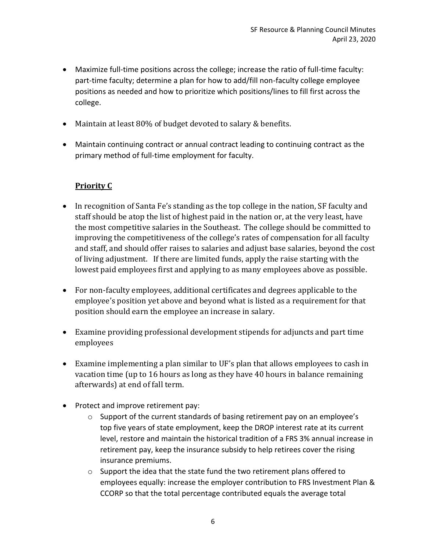- Maximize full-time positions across the college; increase the ratio of full-time faculty: part-time faculty; determine a plan for how to add/fill non-faculty college employee positions as needed and how to prioritize which positions/lines to fill first across the college.
- Maintain at least 80% of budget devoted to salary & benefits.
- Maintain continuing contract or annual contract leading to continuing contract as the primary method of full-time employment for faculty.

# **Priority C**

- In recognition of Santa Fe's standing as the top college in the nation, SF faculty and staff should be atop the list of highest paid in the nation or, at the very least, have the most competitive salaries in the Southeast. The college should be committed to improving the competitiveness of the college's rates of compensation for all faculty and staff, and should offer raises to salaries and adjust base salaries, beyond the cost of living adjustment. If there are limited funds, apply the raise starting with the lowest paid employees first and applying to as many employees above as possible.
- For non-faculty employees, additional certificates and degrees applicable to the employee's position yet above and beyond what is listed as a requirement for that position should earn the employee an increase in salary.
- Examine providing professional development stipends for adjuncts and part time employees
- Examine implementing a plan similar to UF's plan that allows employees to cash in vacation time (up to 16 hours as long as they have 40 hours in balance remaining afterwards) at end of fall term.
- Protect and improve retirement pay:
	- o Support of the current standards of basing retirement pay on an employee's top five years of state employment, keep the DROP interest rate at its current level, restore and maintain the historical tradition of a FRS 3% annual increase in retirement pay, keep the insurance subsidy to help retirees cover the rising insurance premiums.
	- o Support the idea that the state fund the two retirement plans offered to employees equally: increase the employer contribution to FRS Investment Plan & CCORP so that the total percentage contributed equals the average total